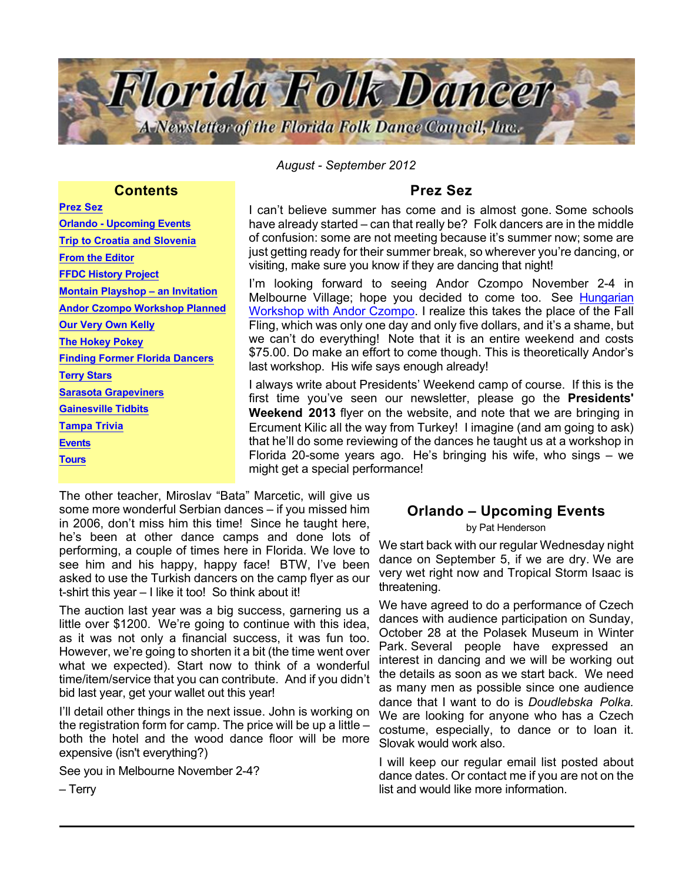

*August - September 2012*

### **Contents**

Prez Sez Orlando - Upcoming Events [Trip to Croatia and Slovenia](#page-1-0) [From the Editor](#page-3-0) [FFDC History Project](#page-4-0) [Montain Playshop – an Invitation](#page-4-0) [Andor Czompo Workshop Planned](#page-5-0) [Our Very Own Kelly](#page-5-0) [The Hokey Pokey](#page-5-0) [Finding Former Florida Dancers](#page-6-0) [Terry Stars](#page-6-0) [Sarasota Grapeviners](#page-7-0) [Gainesville Tidbits](#page-7-0) [Tampa Trivia](#page-7-0) **[Events](#page-7-0) [Tours](#page-9-0)** 

## Prez Sez

I can't believe summer has come and is almost gone. Some schools have already started – can that really be? Folk dancers are in the middle of confusion: some are not meeting because it's summer now; some are just getting ready for their summer break, so wherever you're dancing, or visiting, make sure you know if they are dancing that night!

I'm looking forward to seeing Andor Czompo November 2-4 in Melbourne Village; hope you decided to come too. See [Hungarian](#page-5-0) [Workshop with Andor Czompo](#page-5-0). I realize this takes the place of the Fall Fling, which was only one day and only five dollars, and it's a shame, but we can't do everything! Note that it is an entire weekend and costs \$75.00. Do make an effort to come though. This is theoretically Andor's last workshop. His wife says enough already!

I always write about Presidents' Weekend camp of course. If this is the first time you've seen our newsletter, please go the Presidents' Weekend 2013 flyer on the website, and note that we are bringing in Ercument Kilic all the way from Turkey! I imagine (and am going to ask) that he'll do some reviewing of the dances he taught us at a workshop in Florida 20-some years ago. He's bringing his wife, who sings – we might get a special performance!

The other teacher, Miroslav "Bata" Marcetic, will give us some more wonderful Serbian dances – if you missed him in 2006, don't miss him this time! Since he taught here, he's been at other dance camps and done lots of performing, a couple of times here in Florida. We love to see him and his happy, happy face! BTW, I've been asked to use the Turkish dancers on the camp flyer as our t-shirt this year – I like it too! So think about it!

The auction last year was a big success, garnering us a little over \$1200. We're going to continue with this idea, as it was not only a financial success, it was fun too. However, we're going to shorten it a bit (the time went over what we expected). Start now to think of a wonderful time/item/service that you can contribute. And if you didn't bid last year, get your wallet out this year!

I'll detail other things in the next issue. John is working on the registration form for camp. The price will be up a little – both the hotel and the wood dance floor will be more expensive (isn't everything?)

See you in Melbourne November 2-4?

# Orlando – Upcoming Events

by Pat Henderson

We start back with our regular Wednesday night dance on September 5, if we are dry. We are very wet right now and Tropical Storm Isaac is threatening.

We have agreed to do a performance of Czech dances with audience participation on Sunday, October 28 at the Polasek Museum in Winter Park. Several people have expressed an interest in dancing and we will be working out the details as soon as we start back. We need as many men as possible since one audience dance that I want to do is *Doudlebska Polka.* We are looking for anyone who has a Czech costume, especially, to dance or to loan it. Slovak would work also.

I will keep our regular email list posted about dance dates. Or contact me if you are not on the list and would like more information.

– Terry